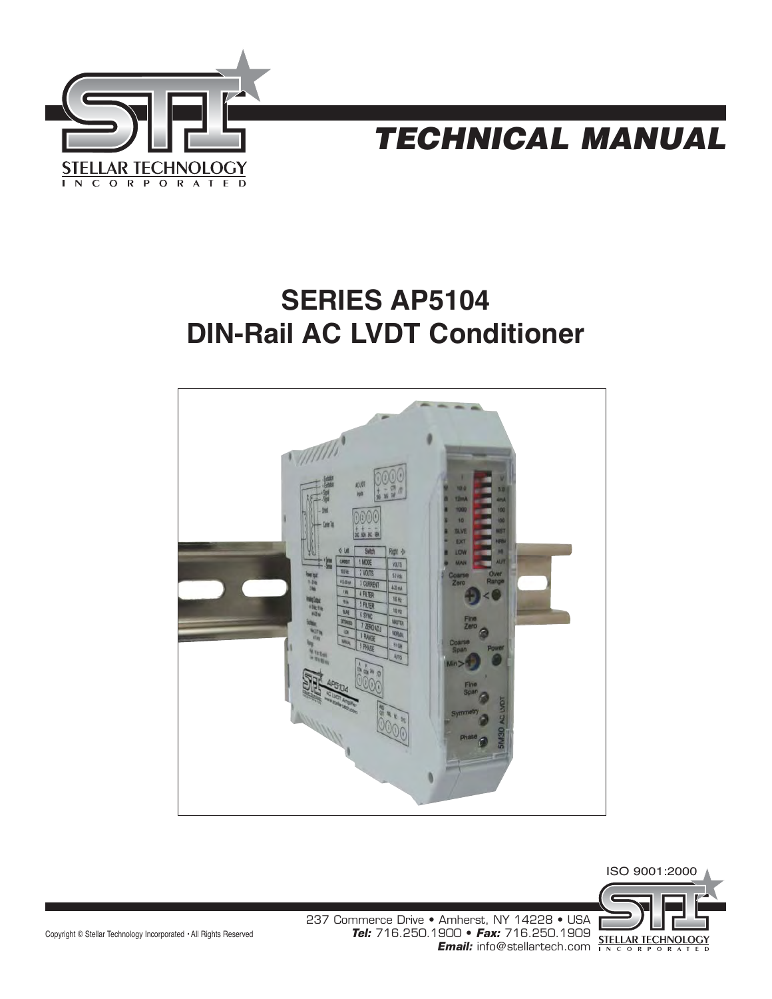



# **SERIES AP5104 DIN-Rail AC LVDT Conditioner**





Copyright © Stellar Technology Incorporated • All Rights Reserved

237 Commerce Drive • Amherst, NY 14228 • USA **Tel:** 716.250.1900 • **Fax:** 716.250.1909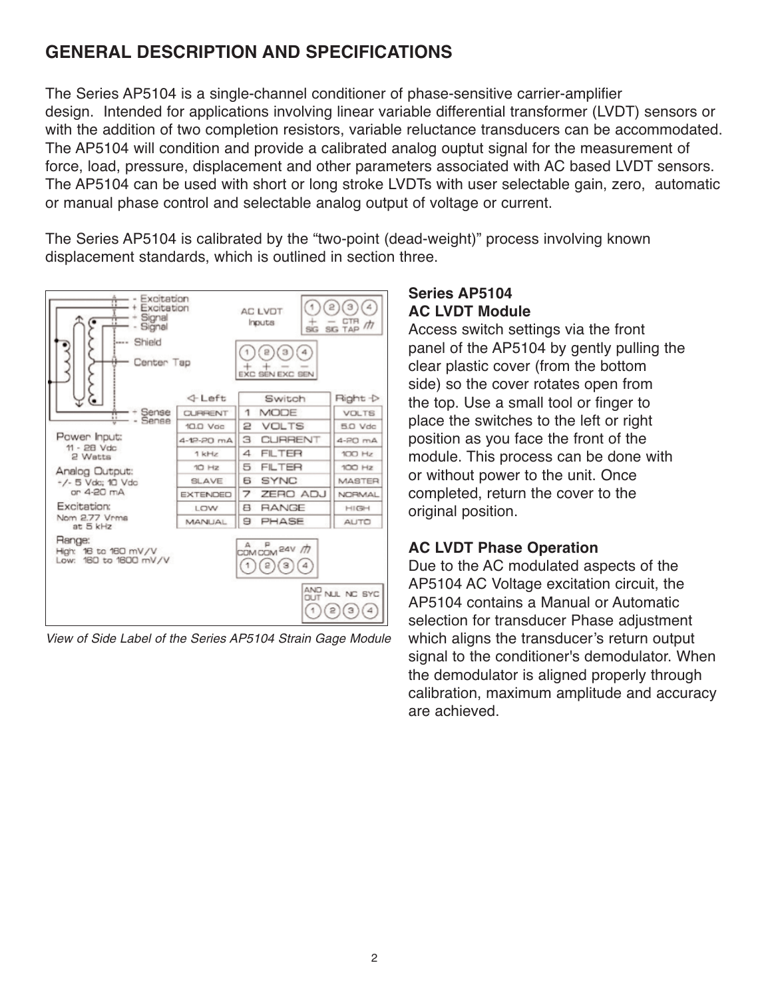# **GENERAL DESCRIPTION AND SPECIFICATIONS**

The Series AP5104 is a single-channel conditioner of phase-sensitive carrier-amplifier design. Intended for applications involving linear variable differential transformer (LVDT) sensors or with the addition of two completion resistors, variable reluctance transducers can be accommodated. The AP5104 will condition and provide a calibrated analog ouptut signal for the measurement of force, load, pressure, displacement and other parameters associated with AC based LVDT sensors. The AP5104 can be used with short or long stroke LVDTs with user selectable gain, zero, automatic or manual phase control and selectable analog output of voltage or current.

The Series AP5104 is calibrated by the "two-point (dead-weight)" process involving known displacement standards, which is outlined in section three.



View of Side Label of the Series AP5104 Strain Gage Module

#### **Series AP5104 AC LVDT Module**

Access switch settings via the front panel of the AP5104 by gently pulling the clear plastic cover (from the bottom side) so the cover rotates open from the top. Use a small tool or finger to place the switches to the left or right position as you face the front of the module. This process can be done with or without power to the unit. Once completed, return the cover to the original position.

## **AC LVDT Phase Operation**

Due to the AC modulated aspects of the AP5104 AC Voltage excitation circuit, the AP5104 contains a Manual or Automatic selection for transducer Phase adjustment which aligns the transducer's return output signal to the conditioner's demodulator. When the demodulator is aligned properly through calibration, maximum amplitude and accuracy are achieved.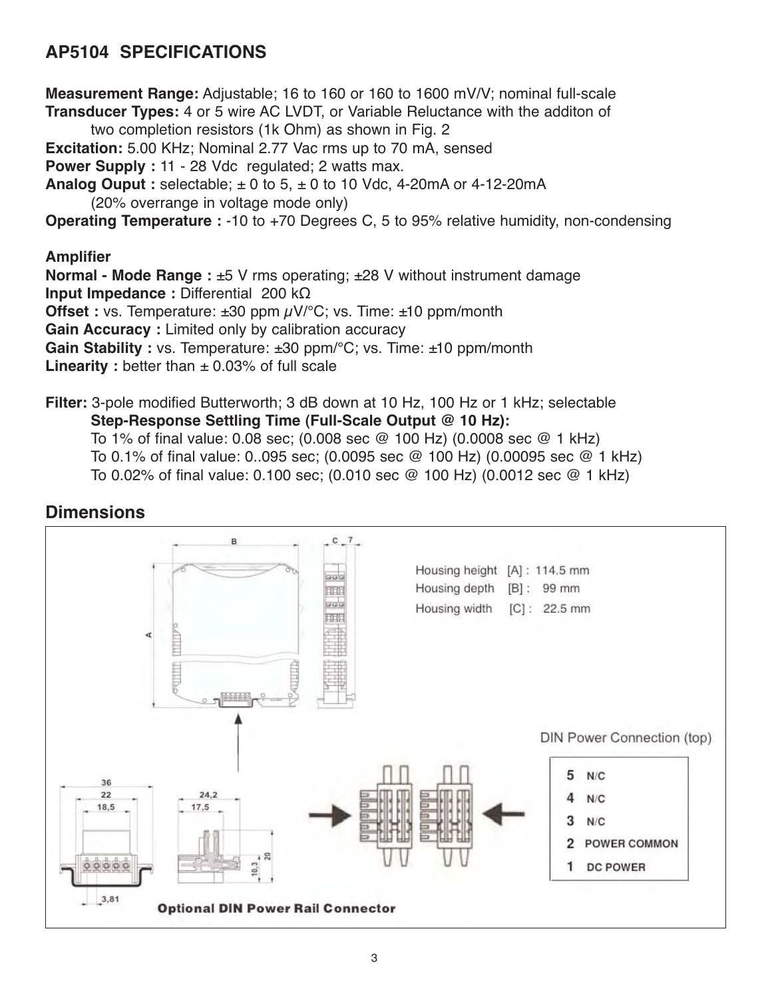# **AP5104 SPECIFICATIONS**

**Measurement Range:** Adjustable; 16 to 160 or 160 to 1600 mV/V; nominal full-scale **Transducer Types:** 4 or 5 wire AC LVDT, or Variable Reluctance with the additon of two completion resistors (1k Ohm) as shown in Fig. 2 **Excitation:** 5.00 KHz; Nominal 2.77 Vac rms up to 70 mA, sensed **Power Supply :** 11 - 28 Vdc regulated; 2 watts max. **Analog Ouput :** selectable;  $\pm 0$  to 5,  $\pm 0$  to 10 Vdc, 4-20mA or 4-12-20mA (20% overrange in voltage mode only) **Operating Temperature :** -10 to +70 Degrees C, 5 to 95% relative humidity, non-condensing **Amplifier Normal - Mode Range :** ±5 V rms operating; ±28 V without instrument damage **Input Impedance :** Differential 200 kΩ **Offset :** vs. Temperature: ±30 ppm  $\mu$ V/°C; vs. Time: ±10 ppm/month

**Gain Accuracy :** Limited only by calibration accuracy

**Gain Stability :** vs. Temperature: ±30 ppm/°C; vs. Time: ±10 ppm/month

**Linearity** : better than  $\pm$  0.03% of full scale

**Filter:** 3-pole modified Butterworth; 3 dB down at 10 Hz, 100 Hz or 1 kHz; selectable **Step-Response Settling Time (Full-Scale Output @ 10 Hz):**  To 1% of final value: 0.08 sec; (0.008 sec @ 100 Hz) (0.0008 sec @ 1 kHz)

To 0.1% of final value: 0..095 sec; (0.0095 sec @ 100 Hz) (0.00095 sec @ 1 kHz)

To 0.02% of final value: 0.100 sec; (0.010 sec @ 100 Hz) (0.0012 sec @ 1 kHz)

## **Dimensions**

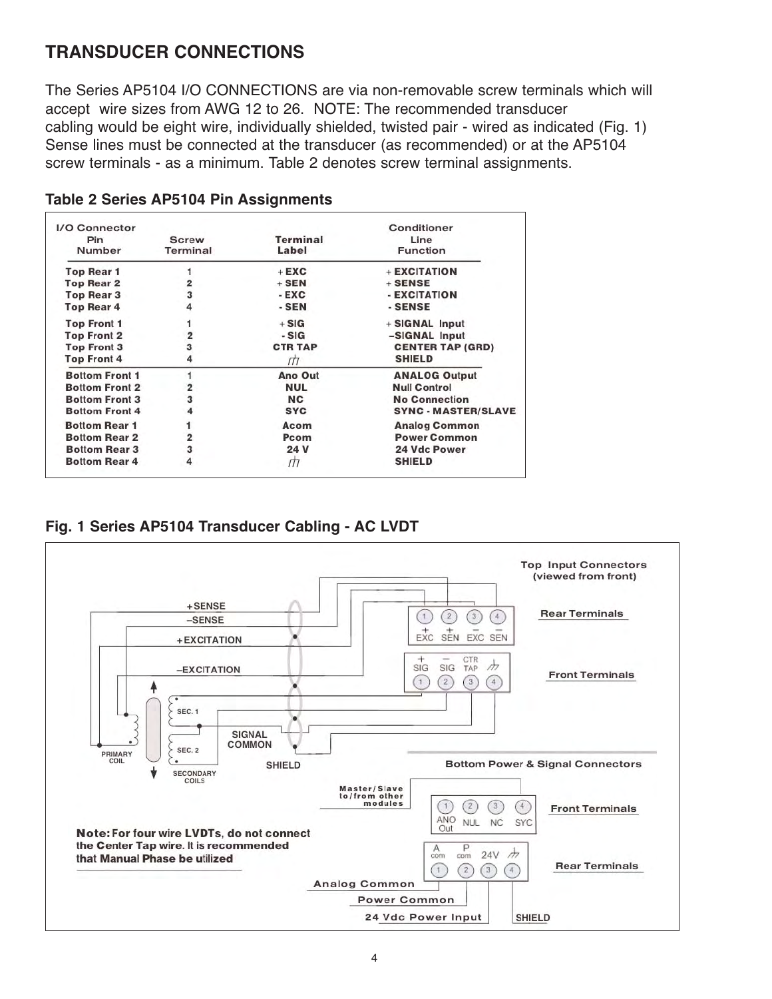## **TRANSDUCER CONNECTIONS**

The Series AP5104 I/O CONNECTIONS are via non-removable screw terminals which will accept wire sizes from AWG 12 to 26. NOTE: The recommended transducer cabling would be eight wire, individually shielded, twisted pair - wired as indicated (Fig. 1) Sense lines must be connected at the transducer (as recommended) or at the AP5104 screw terminals - as a minimum. Table 2 denotes screw terminal assignments.

| I/O Connector         |                          |                   | Conditioner                |
|-----------------------|--------------------------|-------------------|----------------------------|
| Pin<br>Number         | <b>Screw</b><br>Terminal | Terminal<br>Label | Line<br><b>Function</b>    |
| <b>Top Rear 1</b>     |                          | $+$ EXC           | + EXCITATION               |
| <b>Top Rear 2</b>     | $\overline{\mathbf{2}}$  | $+$ SEN           | $+$ SENSE                  |
| <b>Top Rear 3</b>     | 3                        | $-EXC$            | - EXCITATION               |
| <b>Top Rear 4</b>     | 4                        | - SEN             | - SENSE                    |
| <b>Top Front 1</b>    |                          | $+ SIG$           | + SIGNAL Input             |
| <b>Top Front 2</b>    | 2                        | $-S G$            | -SIGNAL Input              |
| <b>Top Front 3</b>    | 3                        | <b>CTR TAP</b>    | <b>CENTER TAP (GRD)</b>    |
| <b>Top Front 4</b>    | 4                        | Щ                 | <b>SHIELD</b>              |
| <b>Bottom Front 1</b> |                          | Ano Out           | <b>ANALOG Output</b>       |
| <b>Bottom Front 2</b> | 2                        | <b>NUL</b>        | <b>Null Control</b>        |
| <b>Bottom Front 3</b> | 3                        | <b>NC</b>         | <b>No Connection</b>       |
| <b>Bottom Front 4</b> | 4                        | <b>SYC</b>        | <b>SYNC - MASTER/SLAVE</b> |
| <b>Bottom Rear 1</b>  | 1                        | Acom              | <b>Analog Common</b>       |
| <b>Bottom Rear 2</b>  | $\overline{2}$           | Pcom              | <b>Power Common</b>        |
| <b>Bottom Rear 3</b>  | 3                        | 24 V              | <b>24 Vdc Power</b>        |
| <b>Bottom Rear 4</b>  | 4                        | ПΤ                | <b>SHIELD</b>              |

#### **Table 2 Series AP5104 Pin Assignments**



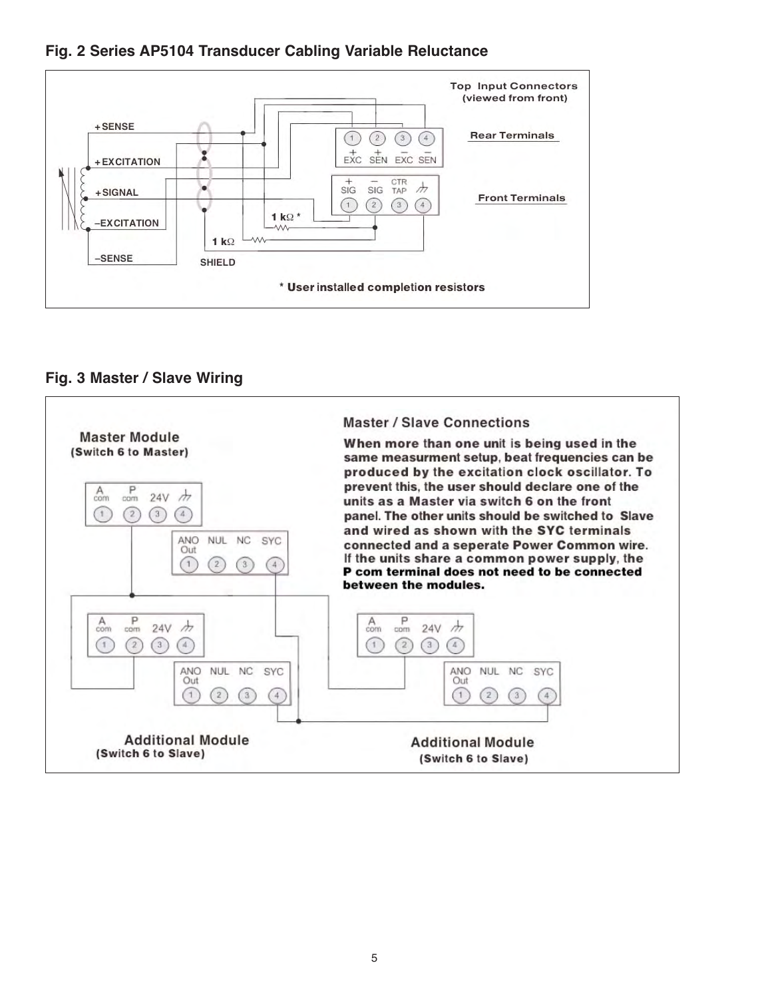



#### **Fig. 3 Master / Slave Wiring**

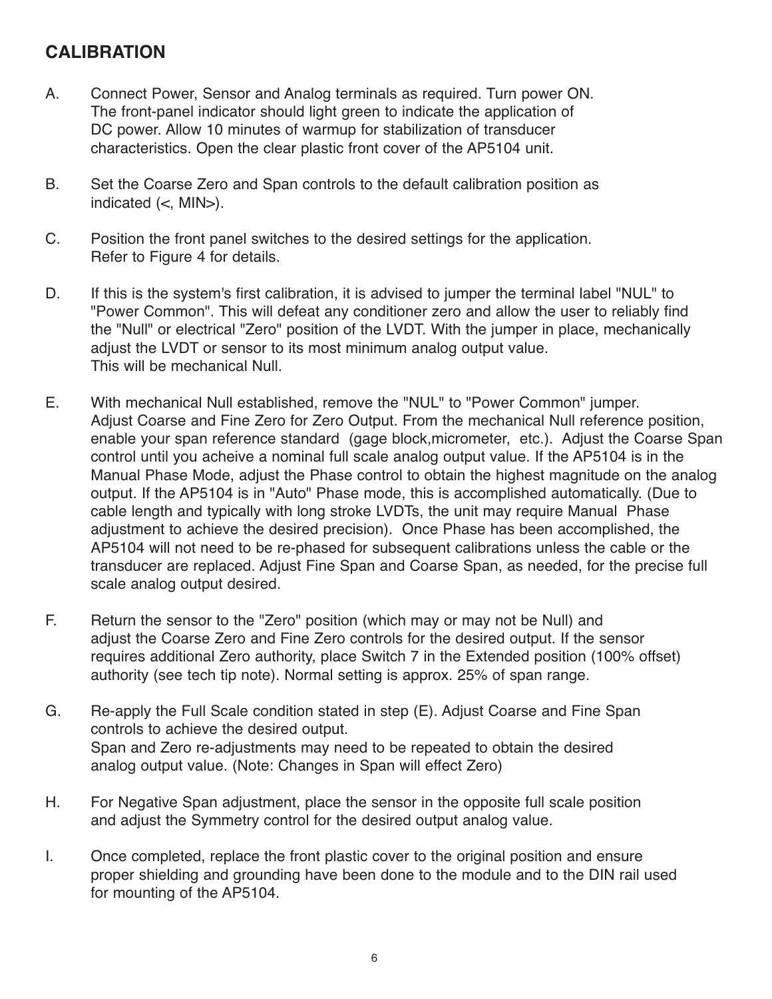## **CALIBRATION**

- A. Connect Power, Sensor and Analog terminals as required. Turn power ON. The front-panel indicator should light green to indicate the application of DC power. Allow 10 minutes of warmup for stabilization of transducer characteristics. Open the clear plastic front cover of the AP5104 unit.
- B. Set the Coarse Zero and Span controls to the default calibration position as indicated  $(<$ , MIN $>$ ).
- C. Position the front panel switches to the desired settings for the application. Refer to Figure 4 for details.
- D. If this is the system's first calibration, it is advised to jumper the terminal label "NUL" to "Power Common". This will defeat any conditioner zero and allow the user to reliably find the "Null" or electrical "Zero" position of the LVDT. With the jumper in place, mechanically adjust the LVDT or sensor to its most minimum analog output value. This will be mechanical Null.
- E. With mechanical Null established, remove the "NUL" to "Power Common" jumper. Adjust Coarse and Fine Zero for Zero Output. From the mechanical Null reference position, enable your span reference standard (gage block,micrometer, etc.). Adjust the Coarse Span control until you acheive a nominal full scale analog output value. If the AP5104 is in the Manual Phase Mode, adjust the Phase control to obtain the highest magnitude on the analog output. If the AP5104 is in "Auto" Phase mode, this is accomplished automatically. (Due to cable length and typically with long stroke LVDTs, the unit may require Manual Phase adjustment to achieve the desired precision). Once Phase has been accomplished, the AP5104 will not need to be re-phased for subsequent calibrations unless the cable or the transducer are replaced. Adjust Fine Span and Coarse Span, as needed, for the precise full scale analog output desired.
- F. Return the sensor to the "Zero" position (which may or may not be Null) and adjust the Coarse Zero and Fine Zero controls for the desired output. If the sensor requires additional Zero authority, place Switch 7 in the Extended position (100% offset) authority (see tech tip note). Normal setting is approx. 25% of span range.
- G. Re-apply the Full Scale condition stated in step (E). Adjust Coarse and Fine Span controls to achieve the desired output. Span and Zero re-adjustments may need to be repeated to obtain the desired analog output value. (Note: Changes in Span will effect Zero)
- H. For Negative Span adjustment, place the sensor in the opposite full scale position and adjust the Symmetry control for the desired output analog value.
- I. Once completed, replace the front plastic cover to the original position and ensure proper shielding and grounding have been done to the module and to the DIN rail used for mounting of the AP5104.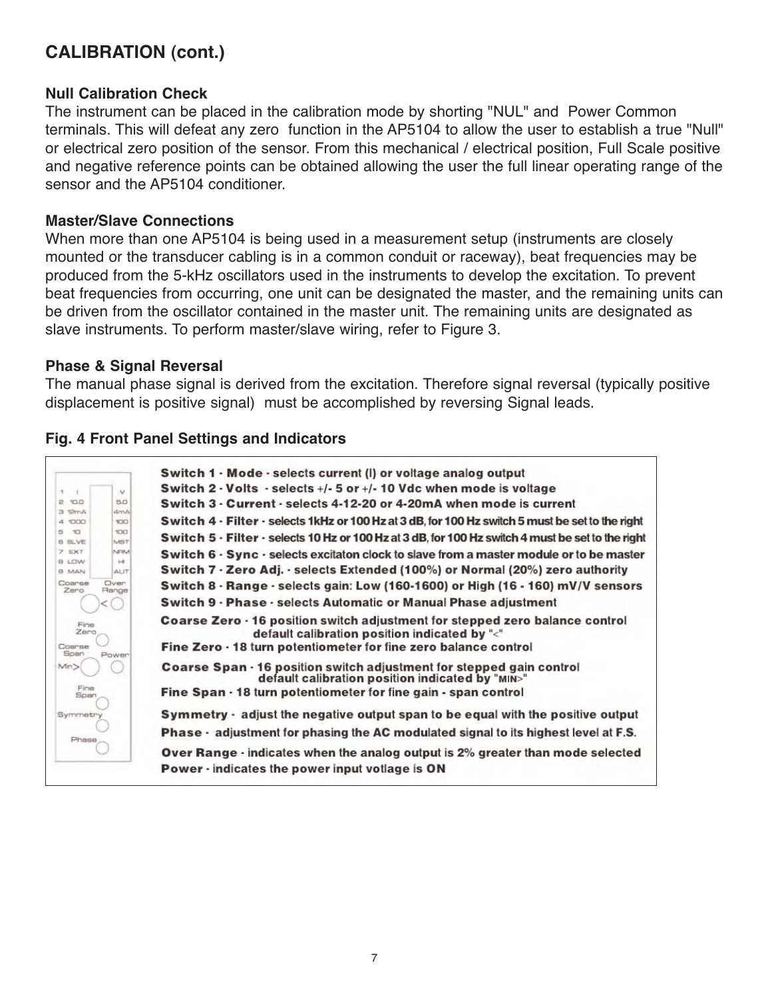# **CALIBRATION (cont.)**

#### **Null Calibration Check**

The instrument can be placed in the calibration mode by shorting "NUL" and Power Common terminals. This will defeat any zero function in the AP5104 to allow the user to establish a true "Null" or electrical zero position of the sensor. From this mechanical / electrical position, Full Scale positive and negative reference points can be obtained allowing the user the full linear operating range of the sensor and the AP5104 conditioner.

#### **Master/Slave Connections**

When more than one AP5104 is being used in a measurement setup (instruments are closely mounted or the transducer cabling is in a common conduit or raceway), beat frequencies may be produced from the 5-kHz oscillators used in the instruments to develop the excitation. To prevent beat frequencies from occurring, one unit can be designated the master, and the remaining units can be driven from the oscillator contained in the master unit. The remaining units are designated as slave instruments. To perform master/slave wiring, refer to Figure 3.

#### **Phase & Signal Reversal**

The manual phase signal is derived from the excitation. Therefore signal reversal (typically positive displacement is positive signal) must be accomplished by reversing Signal leads.

#### **Fig. 4 Front Panel Settings and Indicators**

|                                 | Switch 1 - Mode - selects current (I) or voltage analog output                                                                |
|---------------------------------|-------------------------------------------------------------------------------------------------------------------------------|
| <b>T</b>                        | Switch 2 $\cdot$ Volts $\cdot$ selects $+/$ 5 or $+/-$ 10 Vdc when mode is voltage<br>$\vee$                                  |
| 2 10.0                          | Switch 3 - Current - selects 4-12-20 or 4-20mA when mode is current<br>5.0                                                    |
| $3$ $2mA$<br>4 1000             | dmA<br>Switch 4 - Filter - selects 1 kHz or 100 Hz at 3 dB, for 100 Hz switch 5 must be set to the right<br>100               |
| $5 - 10$<br>8 SLVE              | 100<br>Switch 5 - Filter - selects 10 Hz or 100 Hz at 3 dB, for 100 Hz switch 4 must be set to the right                      |
| <b>7 EXT</b><br>B LOW           | MST<br>NEM<br>Switch 6 · Sync · selects excitaton clock to slave from a master module or to be master<br>$1 - 4$              |
| <b>BLAM</b>                     | Switch 7 · Zero Adj. · selects Extended (100%) or Normal (20%) zero authority<br>ALIT                                         |
| Coarse<br>Oven<br>Zero<br>Range | Switch 8 - Range - selects gain: Low (160-1600) or High (16 - 160) mV/V sensors                                               |
|                                 | Switch 9 - Phase - selects Automatic or Manual Phase adjustment                                                               |
| Fine<br>Zero                    | Coarse Zero - 16 position switch adjustment for stepped zero balance control<br>default calibration position indicated by "<" |
| Power                           | Fine Zero - 18 turn potentiometer for fine zero balance control                                                               |
|                                 | Coarse Span - 16 position switch adjustment for stepped gain control<br>default calibration position indicated by "MIN>"      |
|                                 | Fine Span · 18 turn potentiometer for fine gain - span control                                                                |
| Symmetry                        | Symmetry - adjust the negative output span to be equal with the positive output                                               |
| Phase                           | <b>Phase · adjustment for phasing the AC modulated signal to its highest level at F.S.</b>                                    |
|                                 | <b>Over Range · indicates when the analog output is 2% greater than mode selected</b>                                         |
|                                 | Power - indicates the power input votlage is ON                                                                               |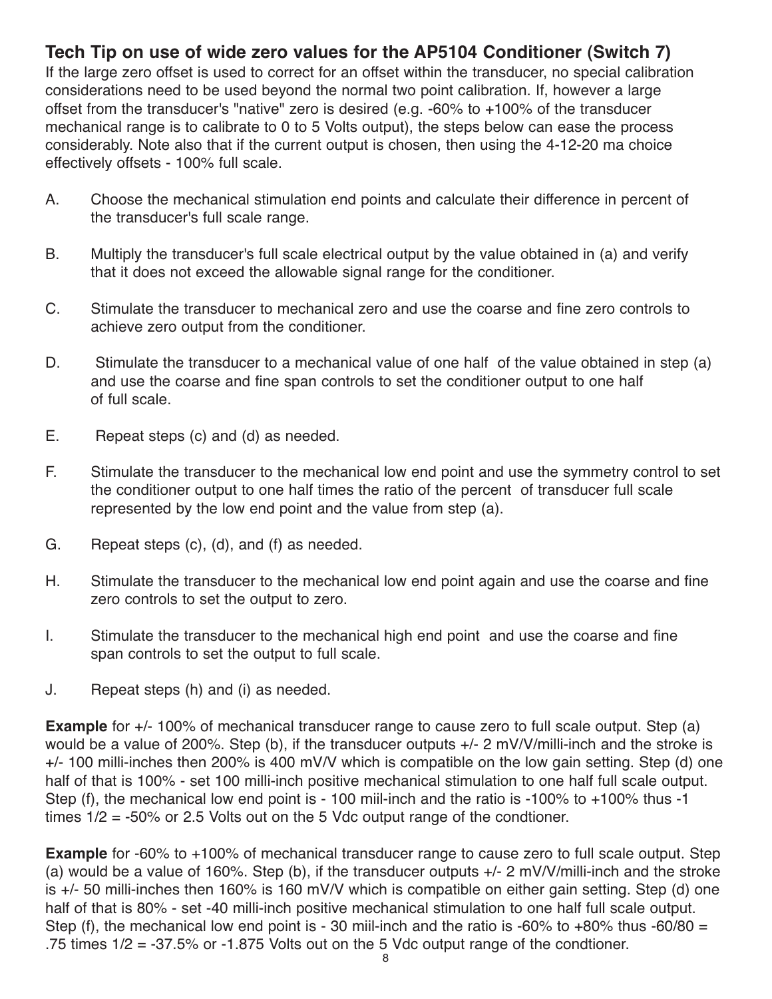## **Tech Tip on use of wide zero values for the AP5104 Conditioner (Switch 7)**

If the large zero offset is used to correct for an offset within the transducer, no special calibration considerations need to be used beyond the normal two point calibration. If, however a large offset from the transducer's "native" zero is desired (e.g. -60% to +100% of the transducer mechanical range is to calibrate to 0 to 5 Volts output), the steps below can ease the process considerably. Note also that if the current output is chosen, then using the 4-12-20 ma choice effectively offsets - 100% full scale.

- A. Choose the mechanical stimulation end points and calculate their difference in percent of the transducer's full scale range.
- B. Multiply the transducer's full scale electrical output by the value obtained in (a) and verify that it does not exceed the allowable signal range for the conditioner.
- C. Stimulate the transducer to mechanical zero and use the coarse and fine zero controls to achieve zero output from the conditioner.
- D. Stimulate the transducer to a mechanical value of one half of the value obtained in step (a) and use the coarse and fine span controls to set the conditioner output to one half of full scale.
- E. Repeat steps (c) and (d) as needed.
- F. Stimulate the transducer to the mechanical low end point and use the symmetry control to set the conditioner output to one half times the ratio of the percent of transducer full scale represented by the low end point and the value from step (a).
- G. Repeat steps (c), (d), and (f) as needed.
- H. Stimulate the transducer to the mechanical low end point again and use the coarse and fine zero controls to set the output to zero.
- I. Stimulate the transducer to the mechanical high end point and use the coarse and fine span controls to set the output to full scale.
- J. Repeat steps (h) and (i) as needed.

**Example** for +/- 100% of mechanical transducer range to cause zero to full scale output. Step (a) would be a value of 200%. Step (b), if the transducer outputs +/- 2 mV/V/milli-inch and the stroke is +/- 100 milli-inches then 200% is 400 mV/V which is compatible on the low gain setting. Step (d) one half of that is 100% - set 100 milli-inch positive mechanical stimulation to one half full scale output. Step (f), the mechanical low end point is - 100 miil-inch and the ratio is -100% to +100% thus -1 times 1/2 = -50% or 2.5 Volts out on the 5 Vdc output range of the condtioner.

**Example** for -60% to +100% of mechanical transducer range to cause zero to full scale output. Step (a) would be a value of 160%. Step (b), if the transducer outputs  $+/-$  2 mV/V/milli-inch and the stroke is +/- 50 milli-inches then 160% is 160 mV/V which is compatible on either gain setting. Step (d) one half of that is 80% - set -40 milli-inch positive mechanical stimulation to one half full scale output. Step (f), the mechanical low end point is - 30 miil-inch and the ratio is -60% to +80% thus -60/80 = .75 times  $1/2 = -37.5\%$  or  $-1.875$  Volts out on the 5 Vdc output range of the condtioner.